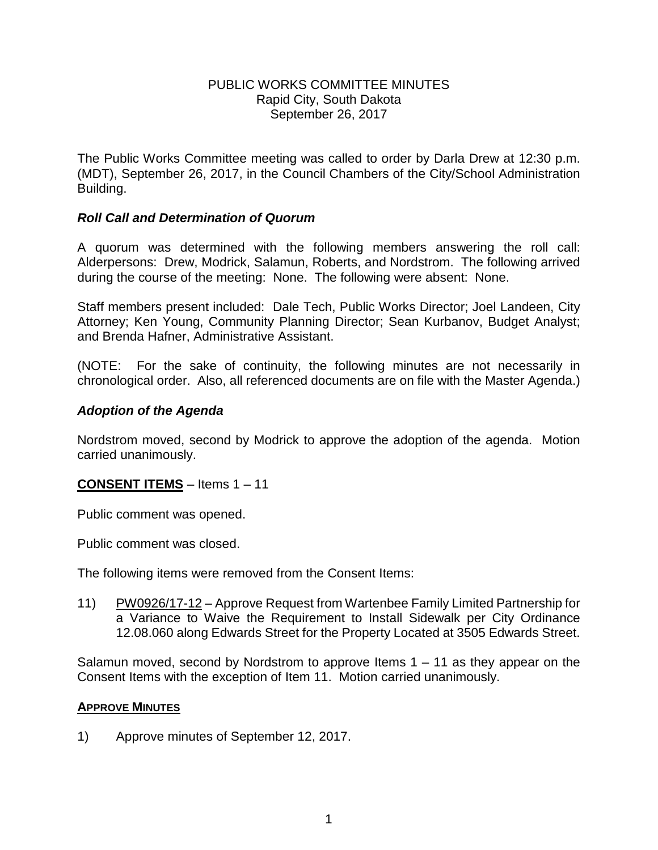## PUBLIC WORKS COMMITTEE MINUTES Rapid City, South Dakota September 26, 2017

The Public Works Committee meeting was called to order by Darla Drew at 12:30 p.m. (MDT), September 26, 2017, in the Council Chambers of the City/School Administration Building.

# *Roll Call and Determination of Quorum*

A quorum was determined with the following members answering the roll call: Alderpersons: Drew, Modrick, Salamun, Roberts, and Nordstrom. The following arrived during the course of the meeting: None. The following were absent: None.

Staff members present included: Dale Tech, Public Works Director; Joel Landeen, City Attorney; Ken Young, Community Planning Director; Sean Kurbanov, Budget Analyst; and Brenda Hafner, Administrative Assistant.

(NOTE: For the sake of continuity, the following minutes are not necessarily in chronological order. Also, all referenced documents are on file with the Master Agenda.)

# *Adoption of the Agenda*

Nordstrom moved, second by Modrick to approve the adoption of the agenda. Motion carried unanimously.

# **CONSENT ITEMS** – Items 1 – 11

Public comment was opened.

Public comment was closed.

The following items were removed from the Consent Items:

11) PW0926/17-12 – Approve Request from Wartenbee Family Limited Partnership for a Variance to Waive the Requirement to Install Sidewalk per City Ordinance 12.08.060 along Edwards Street for the Property Located at 3505 Edwards Street.

Salamun moved, second by Nordstrom to approve Items  $1 - 11$  as they appear on the Consent Items with the exception of Item 11. Motion carried unanimously.

#### **APPROVE MINUTES**

1) Approve minutes of September 12, 2017.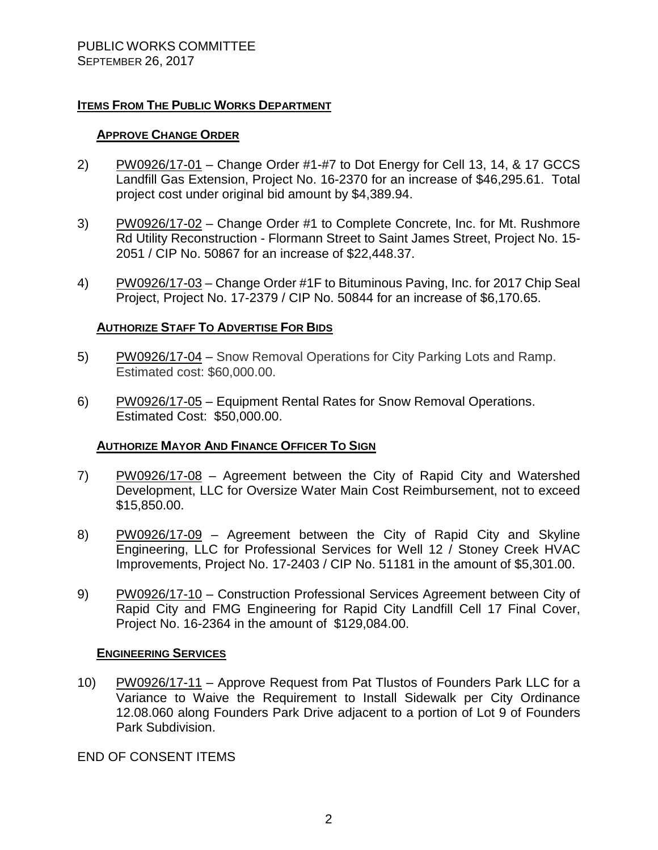# **ITEMS FROM THE PUBLIC WORKS DEPARTMENT**

## **APPROVE CHANGE ORDER**

- 2) PW0926/17-01 Change Order #1-#7 to Dot Energy for Cell 13, 14, & 17 GCCS Landfill Gas Extension, Project No. 16-2370 for an increase of \$46,295.61. Total project cost under original bid amount by \$4,389.94.
- 3) PW0926/17-02 Change Order #1 to Complete Concrete, Inc. for Mt. Rushmore Rd Utility Reconstruction - Flormann Street to Saint James Street, Project No. 15- 2051 / CIP No. 50867 for an increase of \$22,448.37.
- 4) PW0926/17-03 Change Order #1F to Bituminous Paving, Inc. for 2017 Chip Seal Project, Project No. 17-2379 / CIP No. 50844 for an increase of \$6,170.65.

# **AUTHORIZE STAFF TO ADVERTISE FOR BIDS**

- 5) PW0926/17-04 Snow Removal Operations for City Parking Lots and Ramp. Estimated cost: \$60,000.00.
- 6) PW0926/17-05 Equipment Rental Rates for Snow Removal Operations. Estimated Cost: \$50,000.00.

# **AUTHORIZE MAYOR AND FINANCE OFFICER TO SIGN**

- 7) PW0926/17-08 Agreement between the City of Rapid City and Watershed Development, LLC for Oversize Water Main Cost Reimbursement, not to exceed \$15,850.00.
- 8) PW0926/17-09 Agreement between the City of Rapid City and Skyline Engineering, LLC for Professional Services for Well 12 / Stoney Creek HVAC Improvements, Project No. 17-2403 / CIP No. 51181 in the amount of \$5,301.00.
- 9) PW0926/17-10 Construction Professional Services Agreement between City of Rapid City and FMG Engineering for Rapid City Landfill Cell 17 Final Cover, Project No. 16-2364 in the amount of \$129,084.00.

#### **ENGINEERING SERVICES**

10) PW0926/17-11 – Approve Request from Pat Tlustos of Founders Park LLC for a Variance to Waive the Requirement to Install Sidewalk per City Ordinance 12.08.060 along Founders Park Drive adjacent to a portion of Lot 9 of Founders Park Subdivision.

END OF CONSENT ITEMS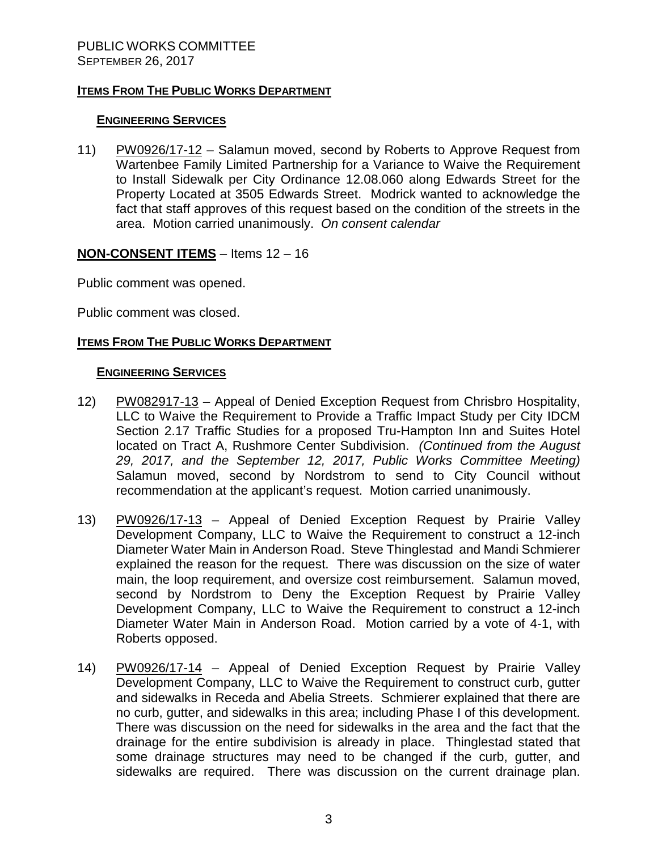## **ITEMS FROM THE PUBLIC WORKS DEPARTMENT**

## **ENGINEERING SERVICES**

11) PW0926/17-12 – Salamun moved, second by Roberts to Approve Request from Wartenbee Family Limited Partnership for a Variance to Waive the Requirement to Install Sidewalk per City Ordinance 12.08.060 along Edwards Street for the Property Located at 3505 Edwards Street. Modrick wanted to acknowledge the fact that staff approves of this request based on the condition of the streets in the area. Motion carried unanimously. *On consent calendar*

#### **NON-CONSENT ITEMS** – Items 12 – 16

Public comment was opened.

Public comment was closed.

## **ITEMS FROM THE PUBLIC WORKS DEPARTMENT**

#### **ENGINEERING SERVICES**

- 12) PW082917-13 Appeal of Denied Exception Request from Chrisbro Hospitality, LLC to Waive the Requirement to Provide a Traffic Impact Study per City IDCM Section 2.17 Traffic Studies for a proposed Tru-Hampton Inn and Suites Hotel located on Tract A, Rushmore Center Subdivision. *(Continued from the August 29, 2017, and the September 12, 2017, Public Works Committee Meeting)* Salamun moved, second by Nordstrom to send to City Council without recommendation at the applicant's request. Motion carried unanimously.
- 13) PW0926/17-13 Appeal of Denied Exception Request by Prairie Valley Development Company, LLC to Waive the Requirement to construct a 12-inch Diameter Water Main in Anderson Road. Steve Thinglestad and Mandi Schmierer explained the reason for the request. There was discussion on the size of water main, the loop requirement, and oversize cost reimbursement. Salamun moved, second by Nordstrom to Deny the Exception Request by Prairie Valley Development Company, LLC to Waive the Requirement to construct a 12-inch Diameter Water Main in Anderson Road. Motion carried by a vote of 4-1, with Roberts opposed.
- 14) PW0926/17-14 Appeal of Denied Exception Request by Prairie Valley Development Company, LLC to Waive the Requirement to construct curb, gutter and sidewalks in Receda and Abelia Streets. Schmierer explained that there are no curb, gutter, and sidewalks in this area; including Phase I of this development. There was discussion on the need for sidewalks in the area and the fact that the drainage for the entire subdivision is already in place. Thinglestad stated that some drainage structures may need to be changed if the curb, gutter, and sidewalks are required. There was discussion on the current drainage plan.